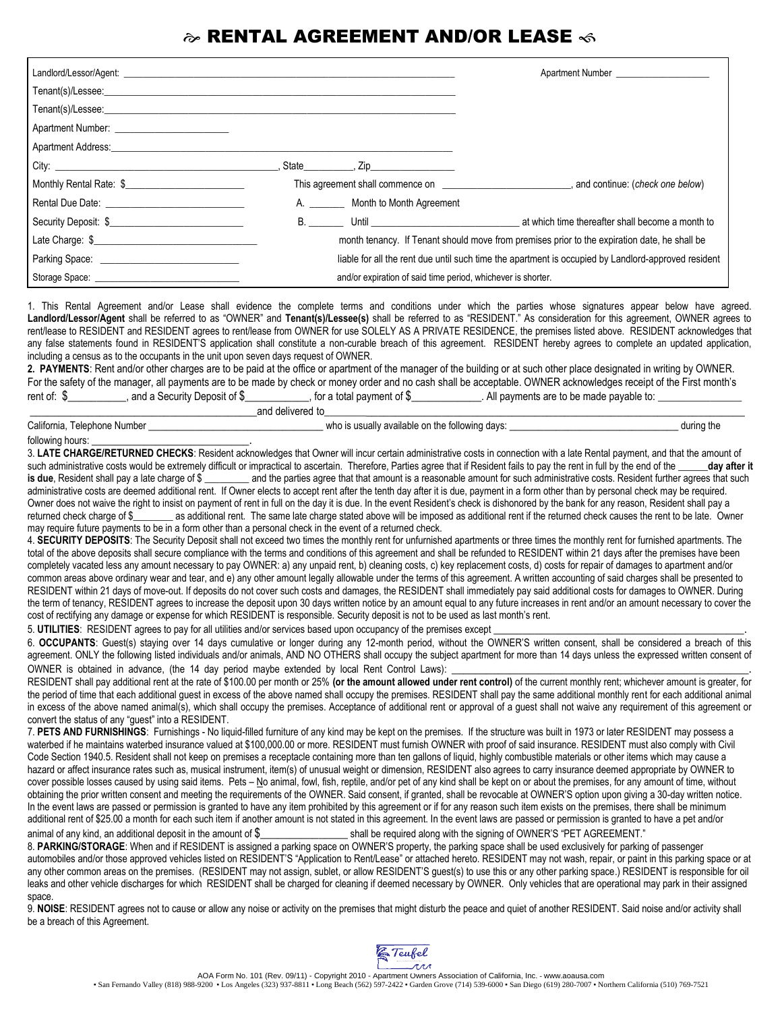## $\hat{\boldsymbol{\omega}}$  RENTAL AGREEMENT AND/OR LEASE  $\hat{\boldsymbol{\omega}}$

|                                                                                                                                                                                                                                |                                                                                                     | Apartment Number <b>Example 20</b>                                                             |  |
|--------------------------------------------------------------------------------------------------------------------------------------------------------------------------------------------------------------------------------|-----------------------------------------------------------------------------------------------------|------------------------------------------------------------------------------------------------|--|
|                                                                                                                                                                                                                                |                                                                                                     |                                                                                                |  |
|                                                                                                                                                                                                                                |                                                                                                     |                                                                                                |  |
|                                                                                                                                                                                                                                |                                                                                                     |                                                                                                |  |
|                                                                                                                                                                                                                                |                                                                                                     |                                                                                                |  |
|                                                                                                                                                                                                                                |                                                                                                     |                                                                                                |  |
| Monthly Rental Rate: \$                                                                                                                                                                                                        |                                                                                                     | This agreement shall commence on example and continue the continue of check one below)         |  |
|                                                                                                                                                                                                                                | A. Month to Month Agreement                                                                         |                                                                                                |  |
|                                                                                                                                                                                                                                |                                                                                                     | B. Until University of the come a month to a set which time thereafter shall become a month to |  |
|                                                                                                                                                                                                                                |                                                                                                     | month tenancy. If Tenant should move from premises prior to the expiration date, he shall be   |  |
|                                                                                                                                                                                                                                | liable for all the rent due until such time the apartment is occupied by Landlord-approved resident |                                                                                                |  |
| Storage Space: Sales Space Space Space Space Space Space Space Space Space Space Space Space Space Space Space Space Space Space Space Space Space Space Space Space Space Space Space Space Space Space Space Space Space Spa | and/or expiration of said time period, whichever is shorter.                                        |                                                                                                |  |

1. This Rental Agreement and/or Lease shall evidence the complete terms and conditions under which the parties whose signatures appear below have agreed. **Landlord/Lessor/Agent** shall be referred to as "OWNER" and **Tenant(s)/Lessee(s)** shall be referred to as "RESIDENT." As consideration for this agreement, OWNER agrees to rent/lease to RESIDENT and RESIDENT agrees to rent/lease from OWNER for use SOLELY AS A PRIVATE RESIDENCE, the premises listed above. RESIDENT acknowledges that any false statements found in RESIDENT'S application shall constitute a non-curable breach of this agreement. RESIDENT hereby agrees to complete an updated application, including a census as to the occupants in the unit upon seven days request of OWNER.

**2. PAYMENTS**: Rent and/or other charges are to be paid at the office or apartment of the manager of the building or at such other place designated in writing by OWNER. For the safety of the manager, all payments are to be made by check or money order and no cash shall be acceptable. OWNER acknowledges receipt of the First month's rent of:  $\frac{6}{2}$ , and a Security Deposit of  $\frac{6}{2}$ , for a total payment of  $\frac{6}{2}$ , All payments are to be made payable to: \_\_\_\_\_\_\_\_\_\_\_\_\_\_\_\_\_\_\_\_\_\_\_\_\_\_\_\_\_\_\_\_\_\_\_\_\_\_\_and delivered to\_\_\_\_\_\_\_\_\_\_\_\_\_\_\_\_\_\_\_\_\_\_\_\_\_\_\_\_\_\_\_\_\_\_\_\_\_\_\_\_\_\_\_\_\_\_\_\_\_\_\_\_\_\_\_\_\_\_\_\_\_\_\_\_\_\_\_\_\_\_\_\_\_

|                                | 10111                                           |            |
|--------------------------------|-------------------------------------------------|------------|
| California<br>Telephone Number | v available on the following davs:<br>: usually | during the |
| following<br>                  |                                                 |            |

3. LATE CHARGE/RETURNED CHECKS: Resident acknowledges that Owner will incur certain administrative costs in connection with a late Rental payment, and that the amount of such administrative costs would be extremely difficult or impractical to ascertain. Therefore, Parties agree that if Resident fails to pay the rent in full by the end of the day after it is due, Resident shall pay a late charge of \$ \_\_\_\_\_\_\_\_ and the parties agree that that amount is a reasonable amount for such administrative costs. Resident further agrees that such administrative costs are deemed additional rent. If Owner elects to accept rent after the tenth day after it is due, payment in a form other than by personal check may be required. Owner does not waive the right to insist on payment of rent in full on the day it is due. In the event Resident's check is dishonored by the bank for any reason, Resident shall pay a returned check charge of \$ as additional rent. The same late charge stated above will be imposed as additional rent if the returned check causes the rent to be late. Owner may require future payments to be in a form other than a personal check in the event of a returned check.

4. **SECURITY DEPOSITS**: The Security Deposit shall not exceed two times the monthly rent for unfurnished apartments or three times the monthly rent for furnished apartments. The total of the above deposits shall secure compliance with the terms and conditions of this agreement and shall be refunded to RESIDENT within 21 days after the premises have been completely vacated less any amount necessary to pay OWNER: a) any unpaid rent, b) cleaning costs, c) key replacement costs, d) costs for repair of damages to apartment and/or common areas above ordinary wear and tear, and e) any other amount legally allowable under the terms of this agreement. A written accounting of said charges shall be presented to RESIDENT within 21 days of move-out. If deposits do not cover such costs and damages, the RESIDENT shall immediately pay said additional costs for damages to OWNER. During the term of tenancy, RESIDENT agrees to increase the deposit upon 30 days written notice by an amount equal to any future increases in rent and/or an amount necessary to cover the cost of rectifying any damage or expense for which RESIDENT is responsible. Security deposit is not to be used as last month's rent.

5. UTILITIES: RESIDENT agrees to pay for all utilities and/or services based upon occupancy of the premises except

6. **OCCUPANTS**: Guest(s) staying over 14 days cumulative or longer during any 12-month period, without the OWNER'S written consent, shall be considered a breach of this agreement. ONLY the following listed individuals and/or animals, AND NO OTHERS shall occupy the subject apartment for more than 14 days unless the expressed written consent of OWNER is obtained in advance, (the 14 day period maybe extended by local Rent Control Laws):

RESIDENT shall pay additional rent at the rate of \$100.00 per month or 25% (or the amount allowed under rent control) of the current monthly rent; whichever amount is greater, for the period of time that each additional guest in excess of the above named shall occupy the premises. RESIDENT shall pay the same additional monthly rent for each additional animal in excess of the above named animal(s), which shall occupy the premises. Acceptance of additional rent or approval of a guest shall not waive any requirement of this agreement or convert the status of any "guest" into a RESIDENT.

7. **PETS AND FURNISHINGS**: Furnishings - No liquid-filled furniture of any kind may be kept on the premises. If the structure was built in 1973 or later RESIDENT may possess a waterbed if he maintains waterbed insurance valued at \$100,000.00 or more. RESIDENT must furnish OWNER with proof of said insurance. RESIDENT must also comply with Civil Code Section 1940.5. Resident shall not keep on premises a receptacle containing more than ten gallons of liquid, highly combustible materials or other items which may cause a hazard or affect insurance rates such as, musical instrument, item(s) of unusual weight or dimension, RESIDENT also agrees to carry insurance deemed appropriate by OWNER to cover possible losses caused by using said items. Pets – No animal, fowl, fish, reptile, and/or pet of any kind shall be kept on or about the premises, for any amount of time, without obtaining the prior written consent and meeting the requirements of the OWNER. Said consent, if granted, shall be revocable at OWNER'S option upon giving a 30-day written notice. In the event laws are passed or permission is granted to have any item prohibited by this agreement or if for any reason such item exists on the premises, there shall be minimum additional rent of \$25.00 a month for each such item if another amount is not stated in this agreement. In the event laws are passed or permission is granted to have a pet and/or animal of any kind, an additional deposit in the amount of \$\_\_\_\_\_\_\_\_\_\_\_\_\_\_\_\_\_\_\_\_\_\_ shall be required along with the signing of OWNER'S "PET AGREEMENT."

8. **PARKING/STORAGE**: When and if RESIDENT is assigned a parking space on OWNER'S property, the parking space shall be used exclusively for parking of passenger automobiles and/or those approved vehicles listed on RESIDENT'S "Application to Rent/Lease" or attached hereto. RESIDENT may not wash, repair, or paint in this parking space or at any other common areas on the premises. (RESIDENT may not assign, sublet, or allow RESIDENT'S guest(s) to use this or any other parking space.) RESIDENT is responsible for oil leaks and other vehicle discharges for which RESIDENT shall be charged for cleaning if deemed necessary by OWNER. Only vehicles that are operational may park in their assigned space.

9. NOISE: RESIDENT agrees not to cause or allow any noise or activity on the premises that might disturb the peace and quiet of another RESIDENT. Said noise and/or activity shall be a breach of this Agreement.

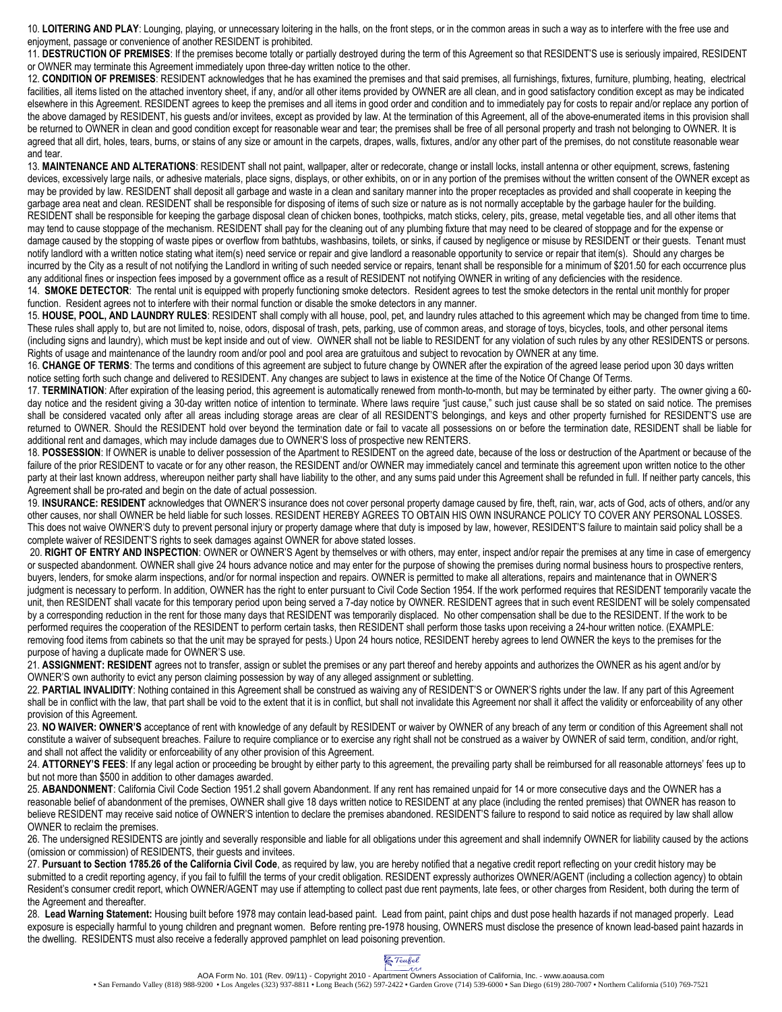10. **LOITERING AND PLAY**: Lounging, playing, or unnecessary loitering in the halls, on the front steps, or in the common areas in such a way as to interfere with the free use and enjoyment, passage or convenience of another RESIDENT is prohibited.

11. **DESTRUCTION OF PREMISES**: If the premises become totally or partially destroyed during the term of this Agreement so that RESIDENT'S use is seriously impaired, RESIDENT or OWNER may terminate this Agreement immediately upon three-day written notice to the other.

12. **CONDITION OF PREMISES**: RESIDENT acknowledges that he has examined the premises and that said premises, all furnishings, fixtures, furniture, plumbing, heating, electrical facilities, all items listed on the attached inventory sheet, if any, and/or all other items provided by OWNER are all clean, and in good satisfactory condition except as may be indicated elsewhere in this Agreement. RESIDENT agrees to keep the premises and all items in good order and condition and to immediately pay for costs to repair and/or replace any portion of the above damaged by RESIDENT, his guests and/or invitees, except as provided by law. At the termination of this Agreement, all of the above-enumerated items in this provision shall be returned to OWNER in clean and good condition except for reasonable wear and tear; the premises shall be free of all personal property and trash not belonging to OWNER. It is agreed that all dirt, holes, tears, burns, or stains of any size or amount in the carpets, drapes, walls, fixtures, and/or any other part of the premises, do not constitute reasonable wear and tear.

13. **MAINTENANCE AND ALTERATIONS**: RESIDENT shall not paint, wallpaper, alter or redecorate, change or install locks, install antenna or other equipment, screws, fastening devices, excessively large nails, or adhesive materials, place signs, displays, or other exhibits, on or in any portion of the premises without the written consent of the OWNER except as may be provided by law. RESIDENT shall deposit all garbage and waste in a clean and sanitary manner into the proper receptacles as provided and shall cooperate in keeping the garbage area neat and clean. RESIDENT shall be responsible for disposing of items of such size or nature as is not normally acceptable by the garbage hauler for the building. RESIDENT shall be responsible for keeping the garbage disposal clean of chicken bones, toothpicks, match sticks, celery, pits, grease, metal vegetable ties, and all other items that may tend to cause stoppage of the mechanism. RESIDENT shall pay for the cleaning out of any plumbing fixture that may need to be cleared of stoppage and for the expense or damage caused by the stopping of waste pipes or overflow from bathtubs, washbasins, toilets, or sinks, if caused by negligence or misuse by RESIDENT or their guests. Tenant must notify landlord with a written notice stating what item(s) need service or repair and give landlord a reasonable opportunity to service or repair that item(s). Should any charges be incurred by the City as a result of not notifying the Landlord in writing of such needed service or repairs, tenant shall be responsible for a minimum of \$201.50 for each occurrence plus any additional fines or inspection fees imposed by a government office as a result of RESIDENT not notifying OWNER in writing of any deficiencies with the residence.

14. **SMOKE DETECTOR**: The rental unit is equipped with properly functioning smoke detectors. Resident agrees to test the smoke detectors in the rental unit monthly for proper function. Resident agrees not to interfere with their normal function or disable the smoke detectors in any manner.

15. **HOUSE, POOL, AND LAUNDRY RULES**: RESIDENT shall comply with all house, pool, pet, and laundry rules attached to this agreement which may be changed from time to time. These rules shall apply to, but are not limited to, noise, odors, disposal of trash, pets, parking, use of common areas, and storage of toys, bicycles, tools, and other personal items (including signs and laundry), which must be kept inside and out of view. OWNER shall not be liable to RESIDENT for any violation of such rules by any other RESIDENTS or persons. Rights of usage and maintenance of the laundry room and/or pool and pool area are gratuitous and subject to revocation by OWNER at any time.

16. **CHANGE OF TERMS**: The terms and conditions of this agreement are subject to future change by OWNER after the expiration of the agreed lease period upon 30 days written notice setting forth such change and delivered to RESIDENT. Any changes are subject to laws in existence at the time of the Notice Of Change Of Terms.

17. **TERMINATION**: After expiration of the leasing period, this agreement is automatically renewed from month-to-month, but may be terminated by either party. The owner giving a 60 day notice and the resident giving a 30-day written notice of intention to terminate. Where laws require "just cause," such just cause shall be so stated on said notice. The premises shall be considered vacated only after all areas including storage areas are clear of all RESIDENT'S belongings, and keys and other property furnished for RESIDENT'S use are returned to OWNER. Should the RESIDENT hold over beyond the termination date or fail to vacate all possessions on or before the termination date, RESIDENT shall be liable for additional rent and damages, which may include damages due to OWNER'S loss of prospective new RENTERS.

18. POSSESSION: If OWNER is unable to deliver possession of the Apartment to RESIDENT on the agreed date, because of the loss or destruction of the Apartment or because of the failure of the prior RESIDENT to vacate or for any other reason, the RESIDENT and/or OWNER may immediately cancel and terminate this agreement upon written notice to the other party at their last known address, whereupon neither party shall have liability to the other, and any sums paid under this Agreement shall be refunded in full. If neither party cancels, this Agreement shall be pro-rated and begin on the date of actual possession.

19. **INSURANCE: RESIDENT** acknowledges that OWNER'S insurance does not cover personal property damage caused by fire, theft, rain, war, acts of God, acts of others, and/or any other causes, nor shall OWNER be held liable for such losses. RESIDENT HEREBY AGREES TO OBTAIN HIS OWN INSURANCE POLICY TO COVER ANY PERSONAL LOSSES. This does not waive OWNER'S duty to prevent personal injury or property damage where that duty is imposed by law, however, RESIDENT'S failure to maintain said policy shall be a complete waiver of RESIDENT'S rights to seek damages against OWNER for above stated losses.

20. **RIGHT OF ENTRY AND INSPECTION**: OWNER or OWNER'S Agent by themselves or with others, may enter, inspect and/or repair the premises at any time in case of emergency or suspected abandonment. OWNER shall give 24 hours advance notice and may enter for the purpose of showing the premises during normal business hours to prospective renters, buyers, lenders, for smoke alarm inspections, and/or for normal inspection and repairs. OWNER is permitted to make all alterations, repairs and maintenance that in OWNER'S judgment is necessary to perform. In addition, OWNER has the right to enter pursuant to Civil Code Section 1954. If the work performed requires that RESIDENT temporarily vacate the unit, then RESIDENT shall vacate for this temporary period upon being served a 7-day notice by OWNER. RESIDENT agrees that in such event RESIDENT will be solely compensated by a corresponding reduction in the rent for those many days that RESIDENT was temporarily displaced. No other compensation shall be due to the RESIDENT. If the work to be performed requires the cooperation of the RESIDENT to perform certain tasks, then RESIDENT shall perform those tasks upon receiving a 24-hour written notice. (EXAMPLE: removing food items from cabinets so that the unit may be sprayed for pests.) Upon 24 hours notice, RESIDENT hereby agrees to lend OWNER the keys to the premises for the purpose of having a duplicate made for OWNER'S use.

21. ASSIGNMENT: RESIDENT agrees not to transfer, assign or sublet the premises or any part thereof and hereby appoints and authorizes the OWNER as his agent and/or by OWNER'S own authority to evict any person claiming possession by way of any alleged assignment or subletting.

22. **PARTIAL INVALIDITY**: Nothing contained in this Agreement shall be construed as waiving any of RESIDENT'S or OWNER'S rights under the law. If any part of this Agreement shall be in conflict with the law, that part shall be void to the extent that it is in conflict, but shall not invalidate this Agreement nor shall it affect the validity or enforceability of any other provision of this Agreement.

23. **NO WAIVER: OWNER'S** acceptance of rent with knowledge of any default by RESIDENT or waiver by OWNER of any breach of any term or condition of this Agreement shall not constitute a waiver of subsequent breaches. Failure to require compliance or to exercise any right shall not be construed as a waiver by OWNER of said term, condition, and/or right, and shall not affect the validity or enforceability of any other provision of this Agreement.

24. **ATTORNEY'S FEES**: If any legal action or proceeding be brought by either party to this agreement, the prevailing party shall be reimbursed for all reasonable attorneys' fees up to but not more than \$500 in addition to other damages awarded.

25. **ABANDONMENT**: California Civil Code Section 1951.2 shall govern Abandonment. If any rent has remained unpaid for 14 or more consecutive days and the OWNER has a reasonable belief of abandonment of the premises, OWNER shall give 18 days written notice to RESIDENT at any place (including the rented premises) that OWNER has reason to believe RESIDENT may receive said notice of OWNER'S intention to declare the premises abandoned. RESIDENT'S failure to respond to said notice as required by law shall allow OWNER to reclaim the premises.

26. The undersigned RESIDENTS are jointly and severally responsible and liable for all obligations under this agreement and shall indemnify OWNER for liability caused by the actions (omission or commission) of RESIDENTS, their guests and invitees.

27. **Pursuant to Section 1785.26 of the California Civil Code**, as required by law, you are hereby notified that a negative credit report reflecting on your credit history may be submitted to a credit reporting agency, if you fail to fulfill the terms of your credit obligation. RESIDENT expressly authorizes OWNER/AGENT (including a collection agency) to obtain Resident's consumer credit report, which OWNER/AGENT may use if attempting to collect past due rent payments, late fees, or other charges from Resident, both during the term of the Agreement and thereafter.

28. **Lead Warning Statement:** Housing built before 1978 may contain lead-based paint. Lead from paint, paint chips and dust pose health hazards if not managed properly. Lead exposure is especially harmful to young children and pregnant women. Before renting pre-1978 housing, OWNERS must disclose the presence of known lead-based paint hazards in the dwelling. RESIDENTS must also receive a federally approved pamphlet on lead poisoning prevention.